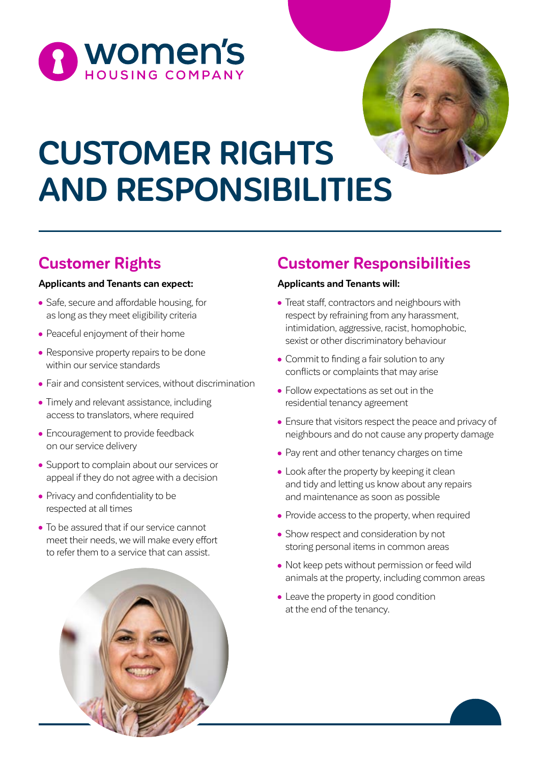



# **CUSTOMER RIGHTS AND RESPONSIBILITIES**

# **Customer Rights**

#### **Applicants and Tenants can expect:**

- Safe, secure and affordable housing, for as long as they meet eligibility criteria
- Peaceful enjoyment of their home
- Responsive property repairs to be done within our service standards
- Fair and consistent services, without discrimination
- Timely and relevant assistance, including access to translators, where required
- Encouragement to provide feedback on our service delivery
- Support to complain about our services or appeal if they do not agree with a decision
- Privacy and confidentiality to be respected at all times
- To be assured that if our service cannot meet their needs, we will make every effort to refer them to a service that can assist.

# **Customer Responsibilities**

### **Applicants and Tenants will:**

- Treat staff, contractors and neighbours with respect by refraining from any harassment, intimidation, aggressive, racist, homophobic, sexist or other discriminatory behaviour
- Commit to finding a fair solution to any conflicts or complaints that may arise
- Follow expectations as set out in the residential tenancy agreement
- Ensure that visitors respect the peace and privacy of neighbours and do not cause any property damage
- Pay rent and other tenancy charges on time
- Look after the property by keeping it clean and tidy and letting us know about any repairs and maintenance as soon as possible
- Provide access to the property, when required
- Show respect and consideration by not storing personal items in common areas
- Not keep pets without permission or feed wild animals at the property, including common areas
- Leave the property in good condition at the end of the tenancy.